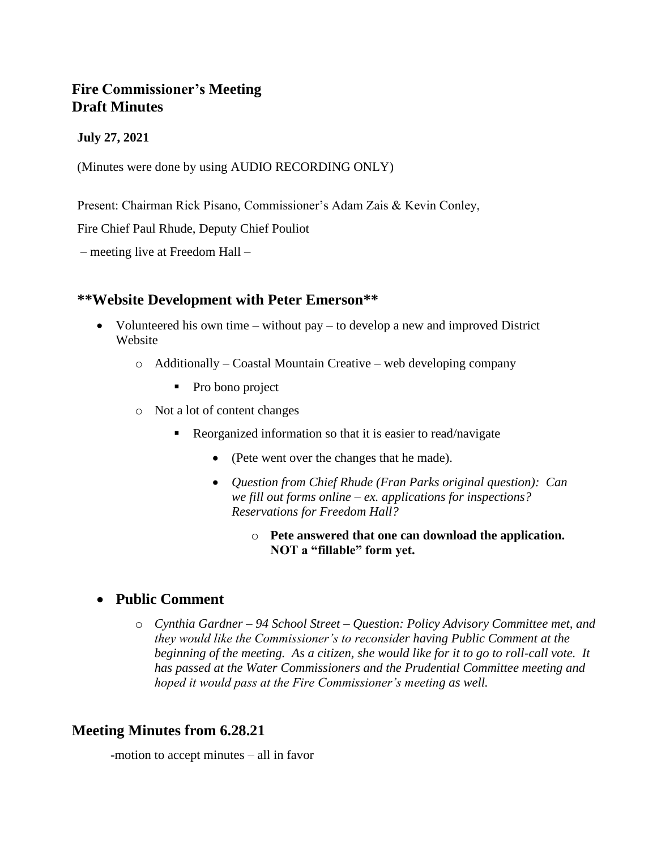# **Fire Commissioner's Meeting Draft Minutes**

#### **July 27, 2021**

(Minutes were done by using AUDIO RECORDING ONLY)

Present: Chairman Rick Pisano, Commissioner's Adam Zais & Kevin Conley,

Fire Chief Paul Rhude, Deputy Chief Pouliot

– meeting live at Freedom Hall –

### **\*\*Website Development with Peter Emerson\*\***

- Volunteered his own time without pay to develop a new and improved District Website
	- o Additionally Coastal Mountain Creative web developing company
		- Pro bono project
	- o Not a lot of content changes
		- Reorganized information so that it is easier to read/navigate
			- (Pete went over the changes that he made).
			- *Question from Chief Rhude (Fran Parks original question): Can we fill out forms online – ex. applications for inspections? Reservations for Freedom Hall?*
				- o **Pete answered that one can download the application. NOT a "fillable" form yet.**

# • **Public Comment**

o *Cynthia Gardner – 94 School Street – Question: Policy Advisory Committee met, and they would like the Commissioner's to reconsider having Public Comment at the beginning of the meeting. As a citizen, she would like for it to go to roll-call vote. It has passed at the Water Commissioners and the Prudential Committee meeting and hoped it would pass at the Fire Commissioner's meeting as well.*

# **Meeting Minutes from 6.28.21**

**-**motion to accept minutes – all in favor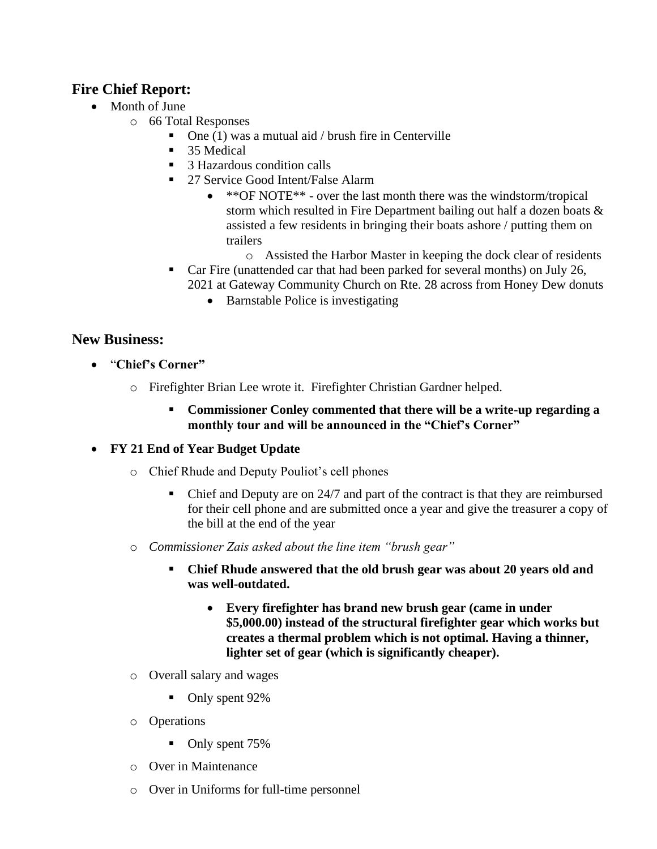# **Fire Chief Report:**

- Month of June
	- o 66 Total Responses
		- $\blacksquare$  One (1) was a mutual aid / brush fire in Centerville
		- 35 Medical
		- 3 Hazardous condition calls
		- 27 Service Good Intent/False Alarm
			- \*\*OF NOTE\*\* over the last month there was the windstorm/tropical storm which resulted in Fire Department bailing out half a dozen boats & assisted a few residents in bringing their boats ashore / putting them on trailers
				- o Assisted the Harbor Master in keeping the dock clear of residents
		- Car Fire (unattended car that had been parked for several months) on July 26, 2021 at Gateway Community Church on Rte. 28 across from Honey Dew donuts
			- Barnstable Police is investigating

### **New Business:**

- "**Chief's Corner"**
	- o Firefighter Brian Lee wrote it. Firefighter Christian Gardner helped.
		- **Commissioner Conley commented that there will be a write-up regarding a monthly tour and will be announced in the "Chief's Corner"**
- **FY 21 End of Year Budget Update**
	- o Chief Rhude and Deputy Pouliot's cell phones
		- Chief and Deputy are on 24/7 and part of the contract is that they are reimbursed for their cell phone and are submitted once a year and give the treasurer a copy of the bill at the end of the year
	- o *Commissioner Zais asked about the line item "brush gear"*
		- **Chief Rhude answered that the old brush gear was about 20 years old and was well-outdated.**
			- **Every firefighter has brand new brush gear (came in under \$5,000.00) instead of the structural firefighter gear which works but creates a thermal problem which is not optimal. Having a thinner, lighter set of gear (which is significantly cheaper).**
	- o Overall salary and wages
		- Only spent 92%
	- o Operations
		- Only spent 75%
	- o Over in Maintenance
	- o Over in Uniforms for full-time personnel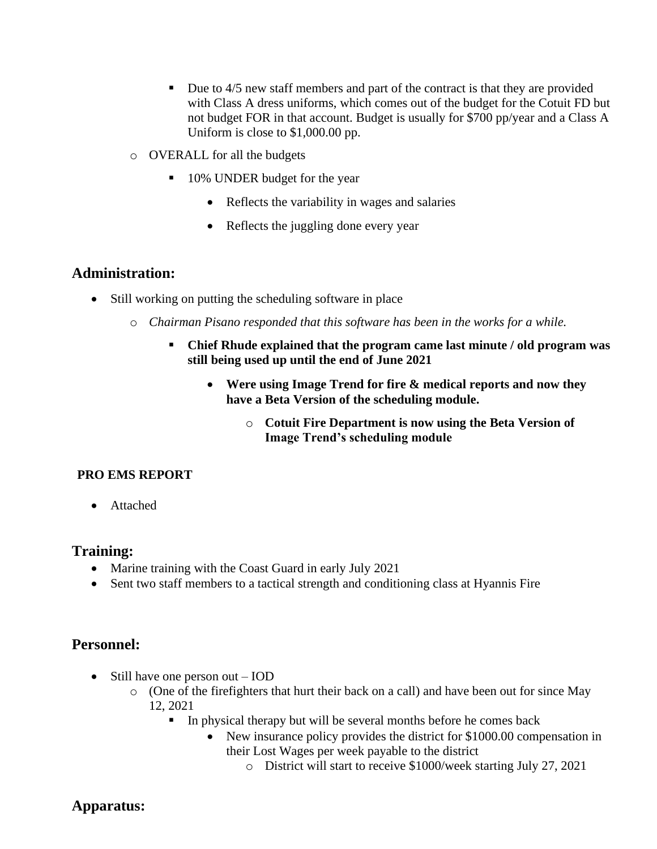- Due to 4/5 new staff members and part of the contract is that they are provided with Class A dress uniforms, which comes out of the budget for the Cotuit FD but not budget FOR in that account. Budget is usually for \$700 pp/year and a Class A Uniform is close to \$1,000.00 pp.
- o OVERALL for all the budgets
	- 10% UNDER budget for the year
		- Reflects the variability in wages and salaries
		- Reflects the juggling done every year

#### **Administration:**

- Still working on putting the scheduling software in place
	- o *Chairman Pisano responded that this software has been in the works for a while.*
		- **Chief Rhude explained that the program came last minute / old program was still being used up until the end of June 2021**
			- **Were using Image Trend for fire & medical reports and now they have a Beta Version of the scheduling module.** 
				- o **Cotuit Fire Department is now using the Beta Version of Image Trend's scheduling module**

#### **PRO EMS REPORT**

• Attached

#### **Training:**

- Marine training with the Coast Guard in early July 2021
- Sent two staff members to a tactical strength and conditioning class at Hyannis Fire

# **Personnel:**

- Still have one person out **IOD** 
	- o (One of the firefighters that hurt their back on a call) and have been out for since May 12, 2021
		- In physical therapy but will be several months before he comes back
			- New insurance policy provides the district for \$1000.00 compensation in their Lost Wages per week payable to the district
				- o District will start to receive \$1000/week starting July 27, 2021

# **Apparatus:**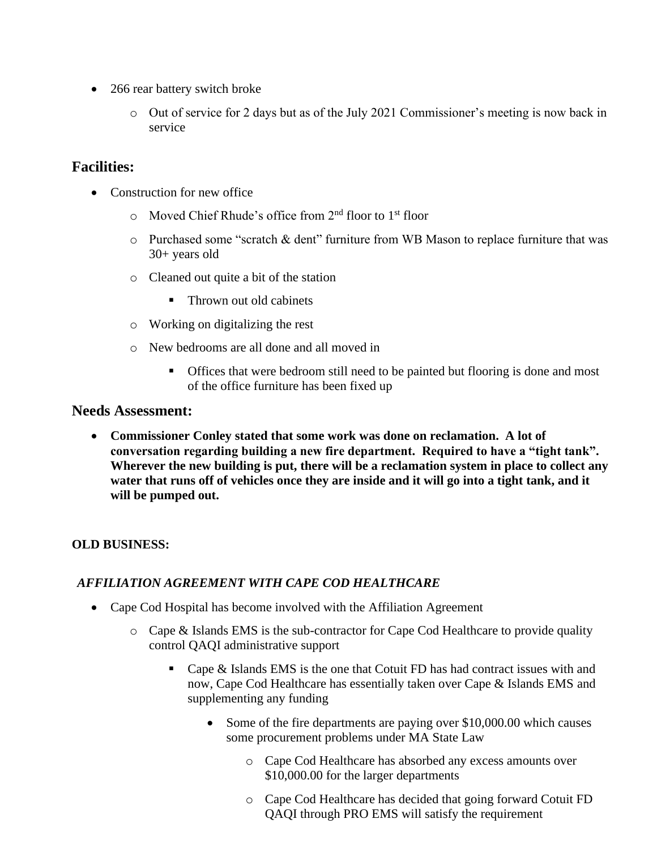- 266 rear battery switch broke
	- o Out of service for 2 days but as of the July 2021 Commissioner's meeting is now back in service

# **Facilities:**

- Construction for new office
	- o Moved Chief Rhude's office from 2nd floor to 1st floor
	- $\circ$  Purchased some "scratch & dent" furniture from WB Mason to replace furniture that was 30+ years old
	- o Cleaned out quite a bit of the station
		- Thrown out old cabinets
	- o Working on digitalizing the rest
	- o New bedrooms are all done and all moved in
		- Offices that were bedroom still need to be painted but flooring is done and most of the office furniture has been fixed up

#### **Needs Assessment:**

• **Commissioner Conley stated that some work was done on reclamation. A lot of conversation regarding building a new fire department. Required to have a "tight tank". Wherever the new building is put, there will be a reclamation system in place to collect any water that runs off of vehicles once they are inside and it will go into a tight tank, and it will be pumped out.**

#### **OLD BUSINESS:**

### *AFFILIATION AGREEMENT WITH CAPE COD HEALTHCARE*

- Cape Cod Hospital has become involved with the Affiliation Agreement
	- o Cape & Islands EMS is the sub-contractor for Cape Cod Healthcare to provide quality control QAQI administrative support
		- Cape & Islands EMS is the one that Cotuit FD has had contract issues with and now, Cape Cod Healthcare has essentially taken over Cape & Islands EMS and supplementing any funding
			- Some of the fire departments are paying over \$10,000.00 which causes some procurement problems under MA State Law
				- o Cape Cod Healthcare has absorbed any excess amounts over \$10,000.00 for the larger departments
				- o Cape Cod Healthcare has decided that going forward Cotuit FD QAQI through PRO EMS will satisfy the requirement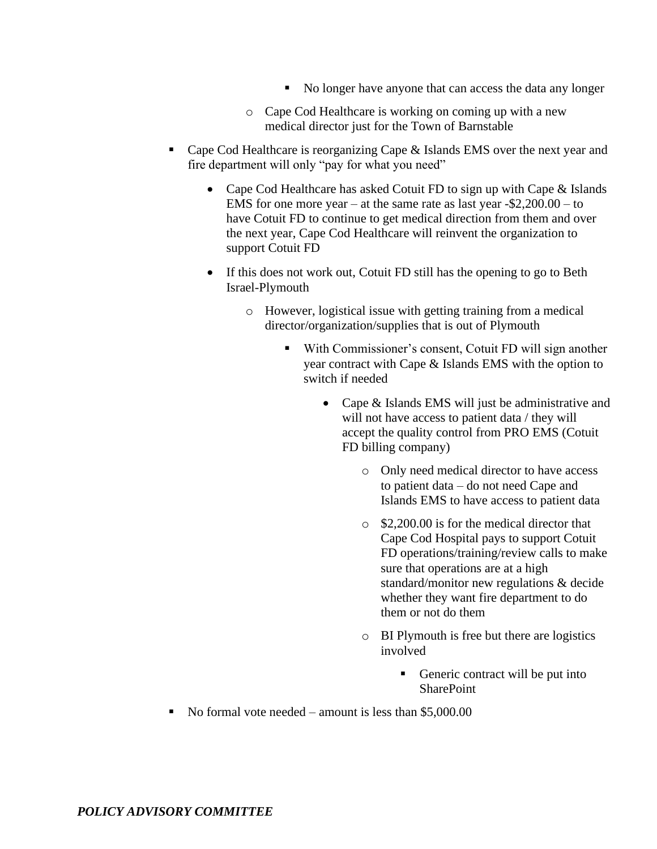- No longer have anyone that can access the data any longer
- o Cape Cod Healthcare is working on coming up with a new medical director just for the Town of Barnstable
- Cape Cod Healthcare is reorganizing Cape & Islands EMS over the next year and fire department will only "pay for what you need"
	- Cape Cod Healthcare has asked Cotuit FD to sign up with Cape & Islands EMS for one more year – at the same rate as last year -\$2,200.00 – to have Cotuit FD to continue to get medical direction from them and over the next year, Cape Cod Healthcare will reinvent the organization to support Cotuit FD
	- If this does not work out, Cotuit FD still has the opening to go to Beth Israel-Plymouth
		- o However, logistical issue with getting training from a medical director/organization/supplies that is out of Plymouth
			- With Commissioner's consent, Cotuit FD will sign another year contract with Cape & Islands EMS with the option to switch if needed
				- Cape & Islands EMS will just be administrative and will not have access to patient data / they will accept the quality control from PRO EMS (Cotuit FD billing company)
					- o Only need medical director to have access to patient data – do not need Cape and Islands EMS to have access to patient data
					- o \$2,200.00 is for the medical director that Cape Cod Hospital pays to support Cotuit FD operations/training/review calls to make sure that operations are at a high standard/monitor new regulations & decide whether they want fire department to do them or not do them
					- o BI Plymouth is free but there are logistics involved
						- Generic contract will be put into **SharePoint**
- $\blacksquare$  No formal vote needed amount is less than \$5,000.00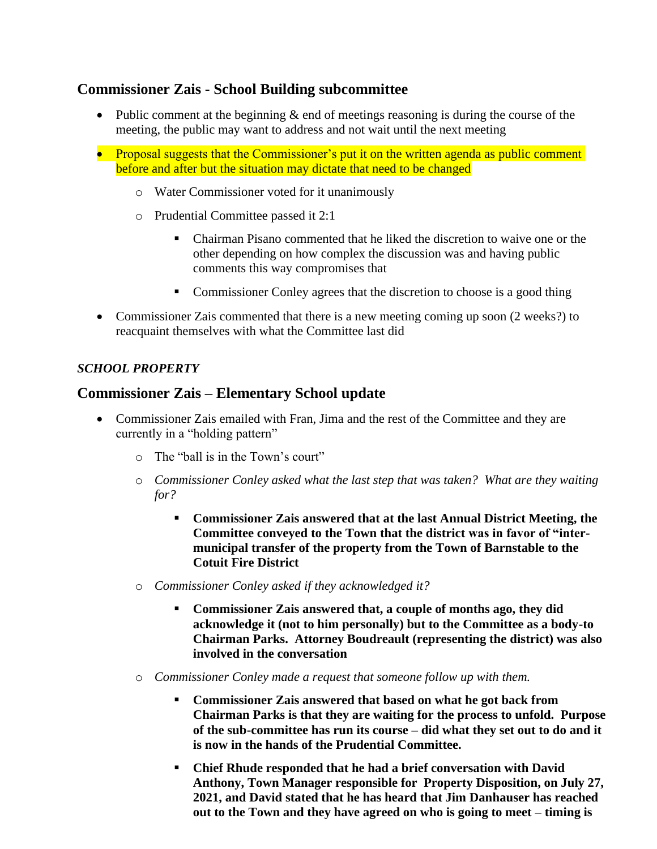# **Commissioner Zais - School Building subcommittee**

- Public comment at the beginning  $\&$  end of meetings reasoning is during the course of the meeting, the public may want to address and not wait until the next meeting
- Proposal suggests that the Commissioner's put it on the written agenda as public comment before and after but the situation may dictate that need to be changed
	- o Water Commissioner voted for it unanimously
	- o Prudential Committee passed it 2:1
		- Chairman Pisano commented that he liked the discretion to waive one or the other depending on how complex the discussion was and having public comments this way compromises that
		- Commissioner Conley agrees that the discretion to choose is a good thing
- Commissioner Zais commented that there is a new meeting coming up soon (2 weeks?) to reacquaint themselves with what the Committee last did

### *SCHOOL PROPERTY*

# **Commissioner Zais – Elementary School update**

- Commissioner Zais emailed with Fran, Jima and the rest of the Committee and they are currently in a "holding pattern"
	- $\circ$  The "ball is in the Town's court"
	- o *Commissioner Conley asked what the last step that was taken? What are they waiting for?*
		- **Commissioner Zais answered that at the last Annual District Meeting, the Committee conveyed to the Town that the district was in favor of "intermunicipal transfer of the property from the Town of Barnstable to the Cotuit Fire District**
	- o *Commissioner Conley asked if they acknowledged it?*
		- **Commissioner Zais answered that, a couple of months ago, they did acknowledge it (not to him personally) but to the Committee as a body-to Chairman Parks. Attorney Boudreault (representing the district) was also involved in the conversation**
	- o *Commissioner Conley made a request that someone follow up with them.*
		- **Commissioner Zais answered that based on what he got back from Chairman Parks is that they are waiting for the process to unfold. Purpose of the sub-committee has run its course – did what they set out to do and it is now in the hands of the Prudential Committee.**
		- **Chief Rhude responded that he had a brief conversation with David Anthony, Town Manager responsible for Property Disposition, on July 27, 2021, and David stated that he has heard that Jim Danhauser has reached out to the Town and they have agreed on who is going to meet – timing is**